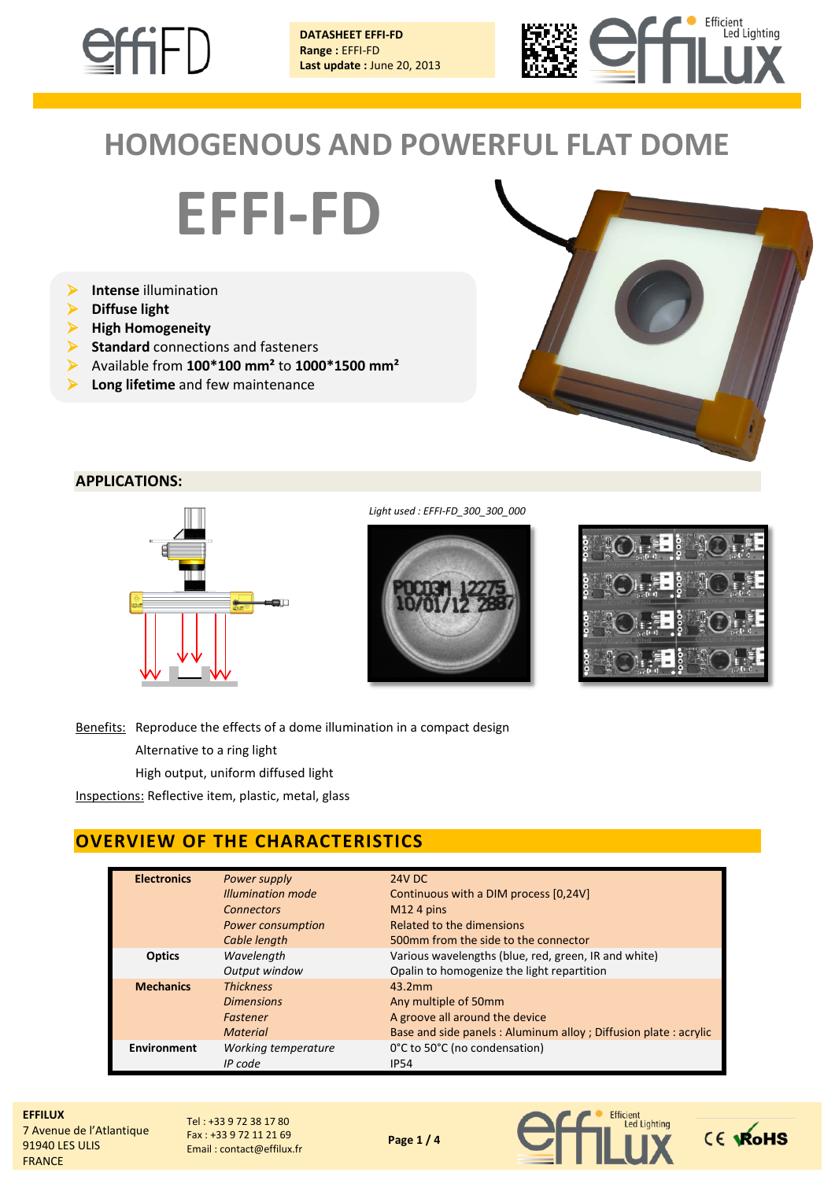

**DATASHEET EFFI-FD Range :** EFFI-FD **Last update :** June 20, 2013



# **HOMOGENOUS AND POWERFUL FLAT DOME**

**EFFI-FD**

- **Intense** illumination
- **Diffuse light**
- **High Homogeneity**
- **Standard** connections and fasteners
- Available from **100\*100 mm²** to **1000\*1500 mm²**
- **Long lifetime** and few maintenance



## **APPLICATIONS:**



*Light used : EFFI-FD\_300\_300\_000*



| ŀ | ΞΙ<br>$\ln 0$         |     | m |
|---|-----------------------|-----|---|
|   | ▙<br><sub>ku</sub> tu | ŏ   |   |
|   | 星<br><b>Take</b><br>π | ă   |   |
|   | E,<br>$\overline{a}$  | ooo |   |

Benefits: Reproduce the effects of a dome illumination in a compact design

Alternative to a ring light

High output, uniform diffused light

Inspections: Reflective item, plastic, metal, glass

# **OVERVIEW OF THE CHARACTERISTICS**

| <b>Electronics</b> | Power supply<br><b>Illumination mode</b>               | <b>24V DC</b><br>Continuous with a DIM process [0,24V]                                           |
|--------------------|--------------------------------------------------------|--------------------------------------------------------------------------------------------------|
|                    | <b>Connectors</b><br>Power consumption                 | $M12$ 4 pins<br><b>Related to the dimensions</b>                                                 |
| <b>Optics</b>      | Cable length<br>Wavelength                             | 500mm from the side to the connector<br>Various wavelengths (blue, red, green, IR and white)     |
| <b>Mechanics</b>   | Output window<br><b>Thickness</b><br><b>Dimensions</b> | Opalin to homogenize the light repartition<br>43.2mm<br>Any multiple of 50mm                     |
|                    | Fastener<br><b>Material</b>                            | A groove all around the device<br>Base and side panels: Aluminum alloy; Diffusion plate: acrylic |
| Environment        | Working temperature<br>IP code                         | 0°C to 50°C (no condensation)<br><b>IP54</b>                                                     |

**EFFILUX** 7 Avenue de l'Atlantique 91940 LES ULIS FRANCE

Tel : +33 9 72 38 17 80 Fax : +33 9 72 11 21 69 Email : contact@effilux.fr



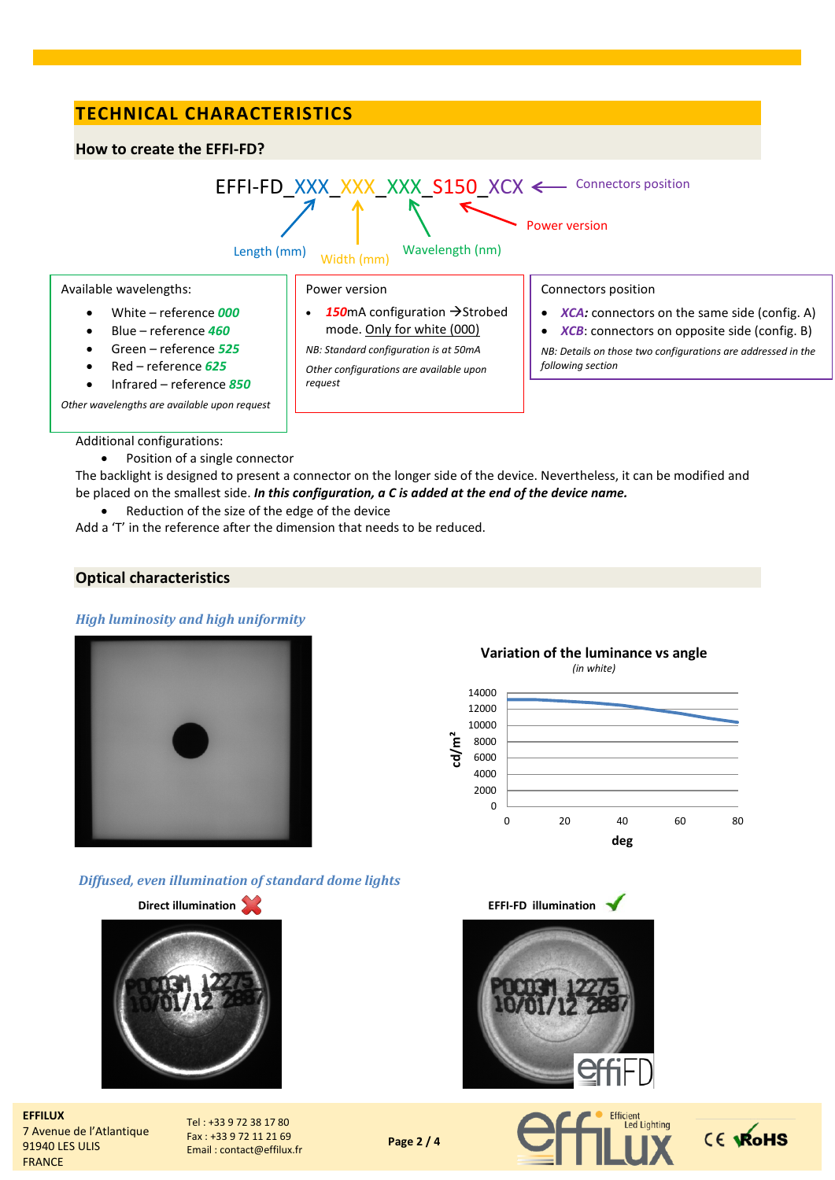# **TECHNICAL CHARACTERISTICS**

#### **How to create the EFFI-FD?**



Additional configurations:

• Position of a single connector

The backlight is designed to present a connector on the longer side of the device. Nevertheless, it can be modified and be placed on the smallest side. *In this configuration, a C is added at the end of the device name.*

Reduction of the size of the edge of the device

Add a 'T' in the reference after the dimension that needs to be reduced.

## **Optical characteristics**

#### *High luminosity and high uniformity*



*Diffused, even illumination of standard dome lights*



**EFFILUX** 7 Avenue de l'Atlantique 91940 LES ULIS FRANCE

Tel : +33 9 72 38 17 80 Fax : +33 9 72 11 21 69 Email : contact@effilux.fr

**Page 2 / 4**



0 20 40 60 80

**deg**





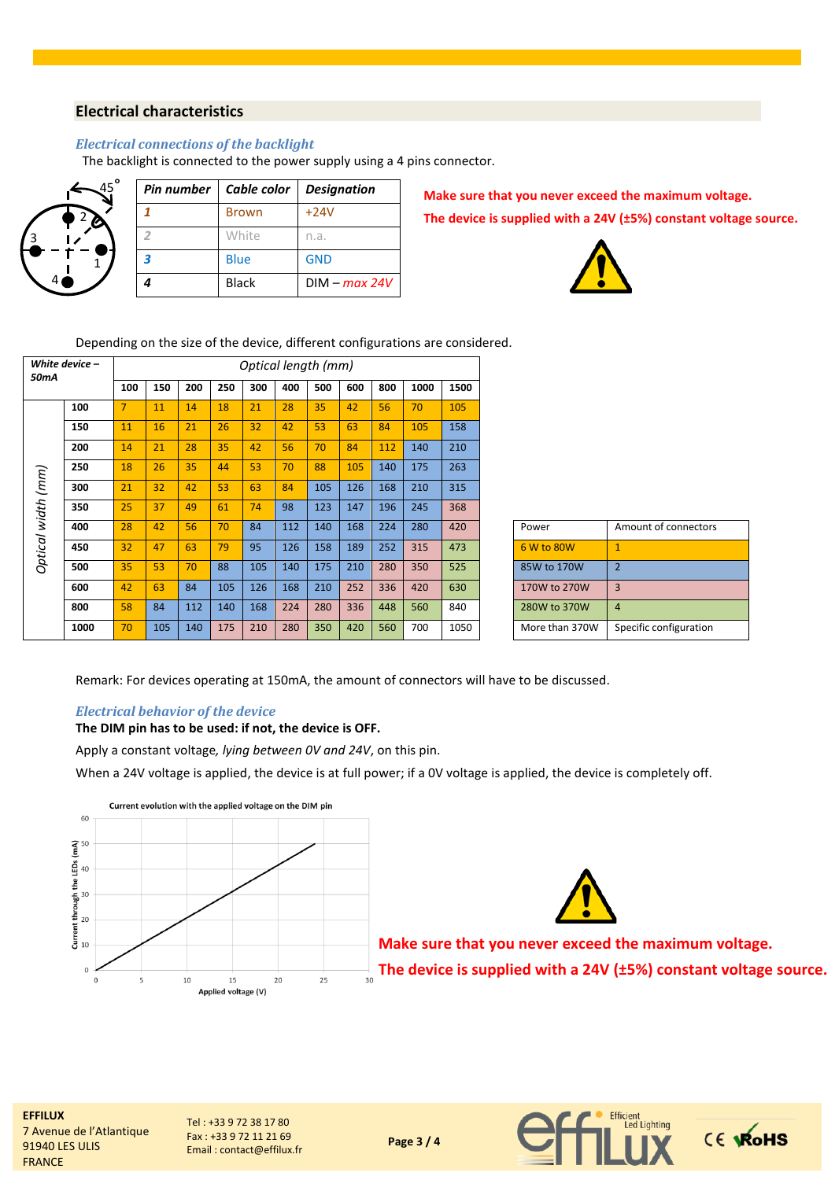### **Electrical characteristics**

#### *Electrical connections of the backlight*

The backlight is connected to the power supply using a 4 pins connector.

|   |        | o<br>45 |
|---|--------|---------|
|   | 2<br>t |         |
| 3 |        |         |
| 4 |        |         |

|   | Pin number   Cable color   Designation |                 |
|---|----------------------------------------|-----------------|
|   | <b>Brown</b>                           | $+24V$          |
|   | White                                  | n.a.            |
| 3 | Blue                                   | <b>GND</b>      |
|   | <b>Black</b>                           | $DIM - max 24V$ |

**Make sure that you never exceed the maximum voltage. The device is supplied with a 24V (±5%) constant voltage source.**



Depending on the size of the device, different configurations are considered.

| White device -<br>50mA |      |                | Optical length (mm) |     |     |     |     |     |     |     |      |      |  |                |                        |
|------------------------|------|----------------|---------------------|-----|-----|-----|-----|-----|-----|-----|------|------|--|----------------|------------------------|
|                        |      | 100            | 150                 | 200 | 250 | 300 | 400 | 500 | 600 | 800 | 1000 | 1500 |  |                |                        |
|                        | 100  | $\overline{7}$ | 11                  | 14  | 18  | 21  | 28  | 35  | 42  | 56  | 70   | 105  |  |                |                        |
|                        | 150  | 11             | 16                  | 21  | 26  | 32  | 42  | 53  | 63  | 84  | 105  | 158  |  |                |                        |
|                        | 200  | 14             | 21                  | 28  | 35  | 42  | 56  | 70  | 84  | 112 | 140  | 210  |  |                |                        |
|                        | 250  | 18             | 26                  | 35  | 44  | 53  | 70  | 88  | 105 | 140 | 175  | 263  |  |                |                        |
| Optical width (mm)     | 300  | 21             | 32                  | 42  | 53  | 63  | 84  | 105 | 126 | 168 | 210  | 315  |  |                |                        |
|                        | 350  | 25             | 37                  | 49  | 61  | 74  | 98  | 123 | 147 | 196 | 245  | 368  |  |                |                        |
|                        | 400  | 28             | 42                  | 56  | 70  | 84  | 112 | 140 | 168 | 224 | 280  | 420  |  | Power          | Amount of connectors   |
|                        | 450  | 32             | 47                  | 63  | 79  | 95  | 126 | 158 | 189 | 252 | 315  | 473  |  | 6 W to 80W     | $\mathbf{1}$           |
|                        | 500  | 35             | 53                  | 70  | 88  | 105 | 140 | 175 | 210 | 280 | 350  | 525  |  | 85W to 170W    | $\overline{2}$         |
|                        | 600  | 42             | 63                  | 84  | 105 | 126 | 168 | 210 | 252 | 336 | 420  | 630  |  | 170W to 270W   | $\overline{3}$         |
|                        | 800  | 58             | 84                  | 112 | 140 | 168 | 224 | 280 | 336 | 448 | 560  | 840  |  | 280W to 370W   | $\overline{4}$         |
|                        | 1000 | 70             | 105                 | 140 | 175 | 210 | 280 | 350 | 420 | 560 | 700  | 1050 |  | More than 370W | Specific configuration |

| Power          | Amount of connectors   |
|----------------|------------------------|
| 6 W to 80W     |                        |
| 85W to 170W    | 2                      |
| 170W to 270W   | З                      |
| 280W to 370W   |                        |
| More than 370W | Specific configuration |

Remark: For devices operating at 150mA, the amount of connectors will have to be discussed.

#### *Electrical behavior of the device*

## **The DIM pin has to be used: if not, the device is OFF.**

Apply a constant voltage*, lying between 0V and 24V*, on this pin.

When a 24V voltage is applied, the device is at full power; if a 0V voltage is applied, the device is completely off.





**Make sure that you never exceed the maximum voltage. The device is supplied with a 24V (±5%) constant voltage source.**



Tel : +33 9 72 38 17 80 Fax : +33 9 72 11 21 69 Email : contact@effilux.fr



**Page 3 / 4**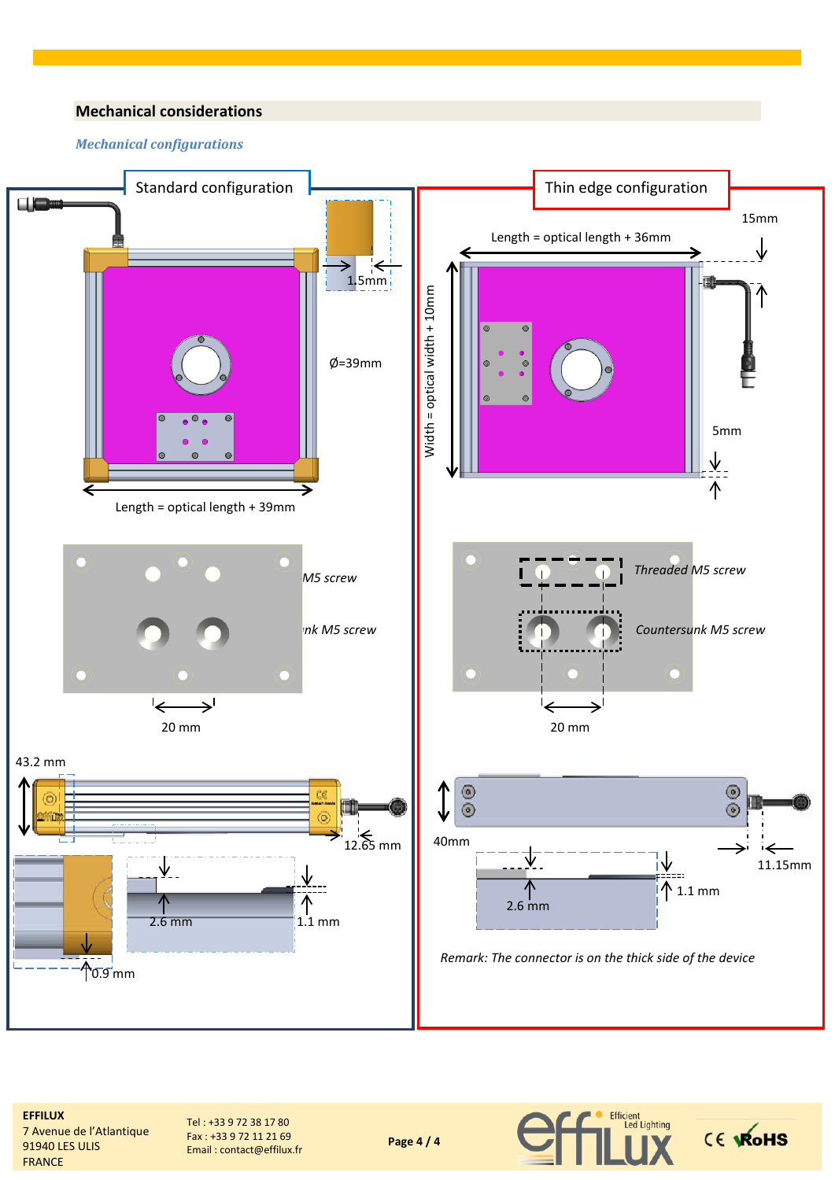## **Mechanical considerations**

#### *Mechanical configurations*



**Page 4 / 4**

**EFFILUX** 7 Avenue de l'Atlantique 91940 LES ULIS FRANCE

Tel : +33 9 72 38 17 80 Fax : +33 9 72 11 21 69 Email : contact@effilux.fr

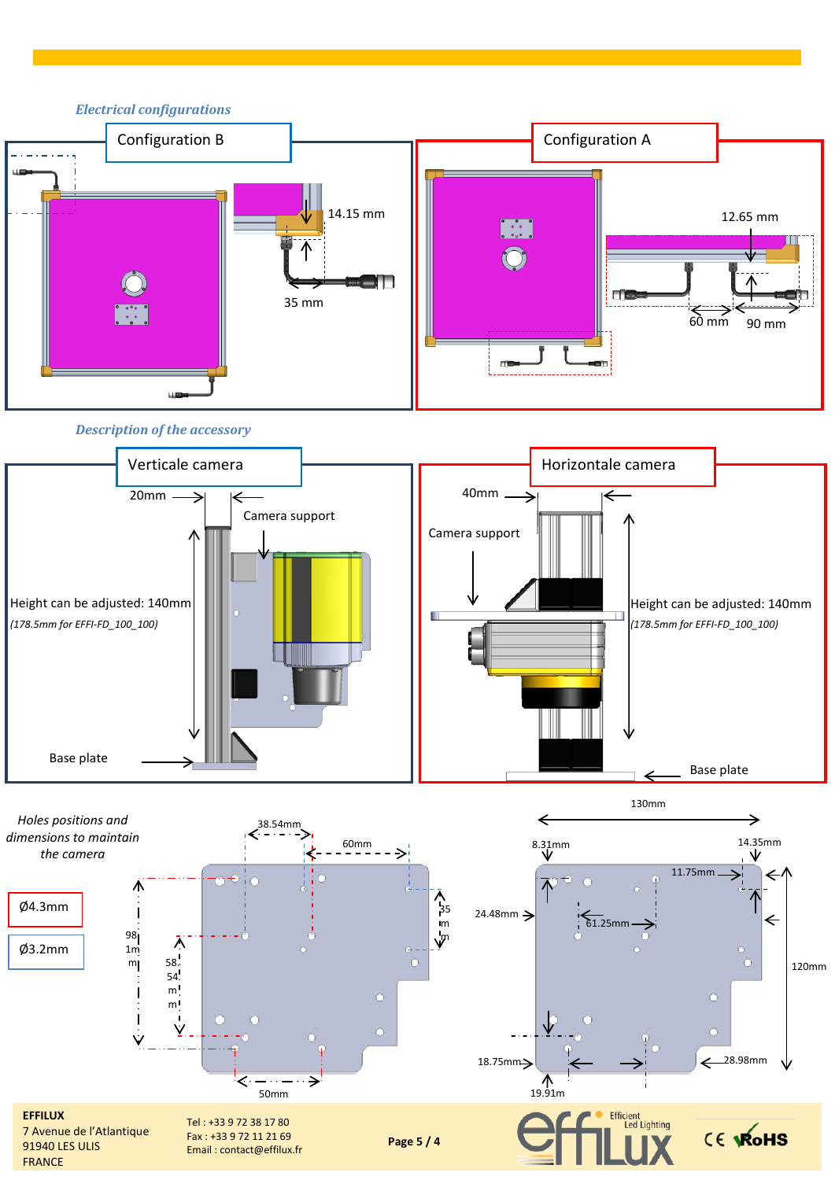

*Description of the accessory*



130mm

*Holes positions and*   $\leftarrow$ → 38.54mm *dimensions to maintain*  14.35mm  $60mm$ 8.31mm *the camera*  $-2$ 11.75mm ૮ ላ<br>}<sub>35</sub> Ø4.3mm  $24.48$ mm $\rightarrow$ ı  $\Leftarrow$  $61.25mm$ m m 98. Ā Ø3.2mm 1m m 58. 120mm 54  $m!$  $\overline{m}$ Ý Ŵ 18.75mm> 28.98mm  $\bigwedge_{19.91m}$ ⋖ 50mm Efficient<br>Led Lighting **EFFILUX** Tel : +33 9 72 38 17 80 CE VROHS 7 Avenue de l'Atlantique Fax : +33 9 72 11 21 69 **Page 5 / 4** 91940 LES ULIS Email : contact@effilux.frFRANCE